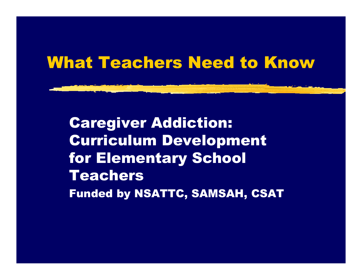#### What Teachers Need to Know

Caregiver Addiction: Curriculum Development for Elementary School Teachers Funded by NSATTC, SAMSAH, CSAT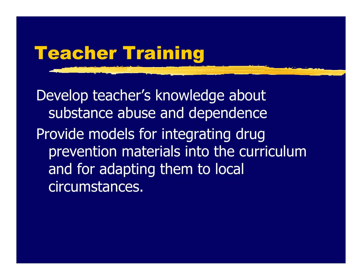# Teacher Training

Develop teacher's knowledge about substance abuse and dependence Provide models for integrating drug prevention materials into the curriculum and for adapting them to local circumstances.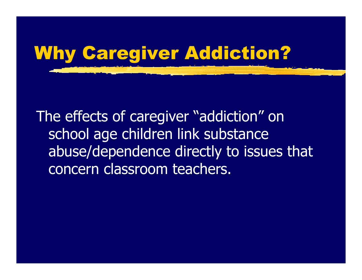

The effects of caregiver "addiction" on school age children link substance abuse/dependence directly to issues that concern classroom teachers.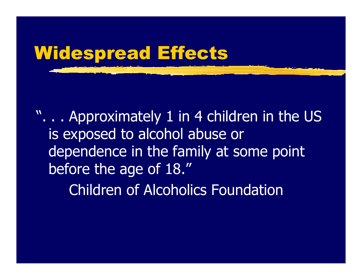# Widespread Effects

". . . Approximately 1 in 4 children in the US is exposed to alcohol abuse or dependence in the family at some point before the age of 18."

Children of Alcoholics Foundation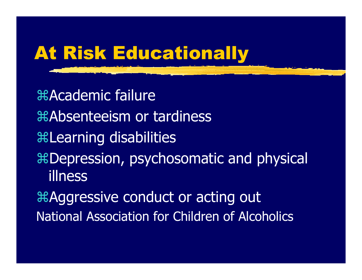# At Risk Educationally

*Academic failure* Absenteeism or tardiness Learning disabilities Depression, psychosomatic and physical illnessAggressive conduct or acting out National Association for Children of Alcoholics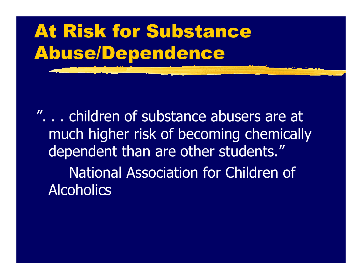# At Risk for Substance Abuse/Dependence

". . . children of substance abusers are at much higher risk of becoming chemically dependent than are other students." National Association for Children of **Alcoholics**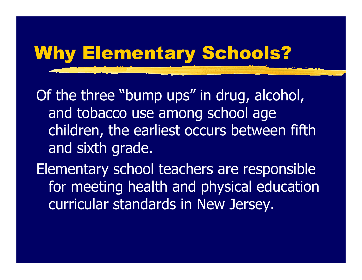# Why Elementary Schools?

Of the three "bump ups" in drug, alcohol, and tobacco use among school age children, the earliest occurs between fifth and sixth grade.

Elementary school teachers are responsible for meeting health and physical education curricular standards in New Jersey.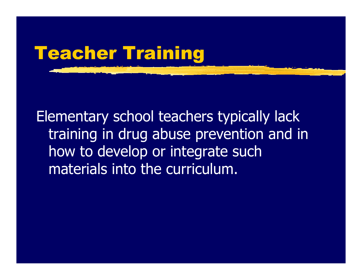

Elementary school teachers typically lack training in drug abuse prevention and in how to develop or integrate such materials into the curriculum.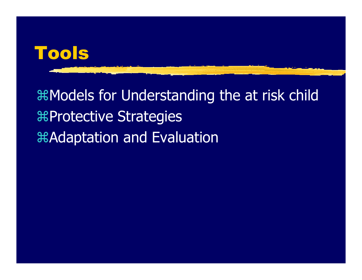

# Models for Understanding the at risk child Protective Strategies Adaptation and Evaluation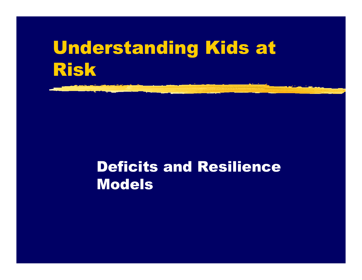# Understanding Kids at Risk

#### Deficits and Resilience Models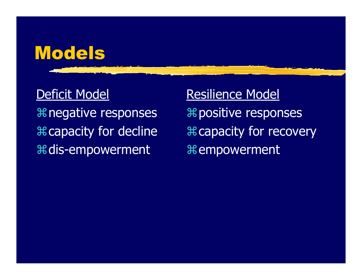## Models

#### Deficit Model

negative responses capacity for decline dis-empowerment

Resilience Model **器positive responses H** capacity for recovery t empowerment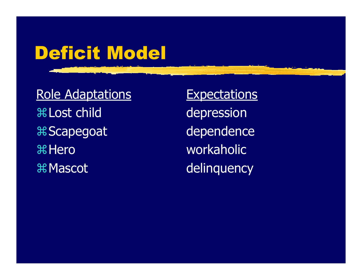# Deficit Model

Role Adaptations  **出Lost child** Scapego a t **米Hero 米 Mascot** 

**Expectations** depressio n dependence workaholicdelinquency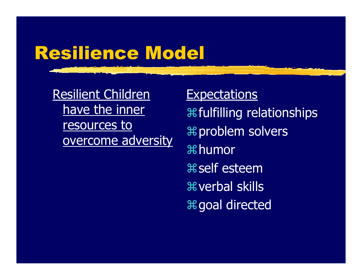# Resilience Model

Resilient Children have the inner resources to overcome adversity

#### **Expectations**

fulfilling r elationships problem s olvers humor self esteemverbal skillsgoal directed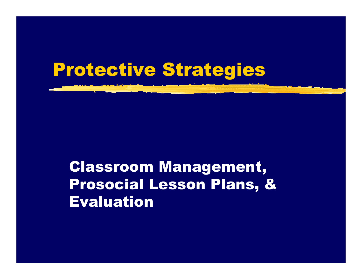## Protective Strategies

Classroom Management, Prosocial Lesson Plans, & Evaluation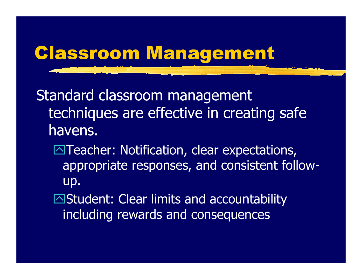# Classroom Management

Standard classroom management techniques are effective in creating safe havens.

- $\boxdot$ Teacher: Notification, clear expectations, app ropriate responses, and consistent followup.
- ⊠Student: Clear limits and accountability including rewards and consequences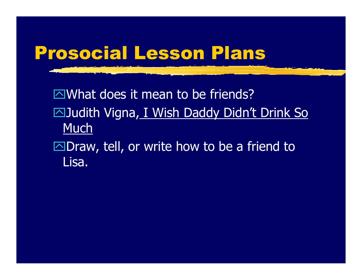

⊠What does it mean to be friends? ⊠Judith Vigna<u>, I Wish Daddy Didn't Drink So</u> Much ⊠Draw, tell, or write how to be a friend to

Lisa.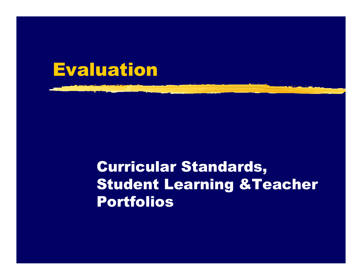

#### Curricular Standards, Student Learning &Teacher Portfolios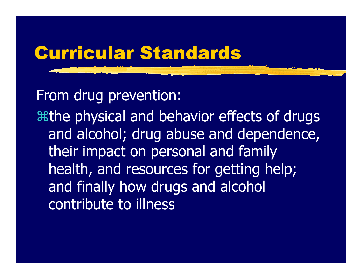### Curricular Standards

From drug prevention:

athe physical and behavior effects of drugs and alcohol; drug abuse and dependence, their impact on personal and family health, and resources for getting help; and finally how d rugs and alcohol contribute to illness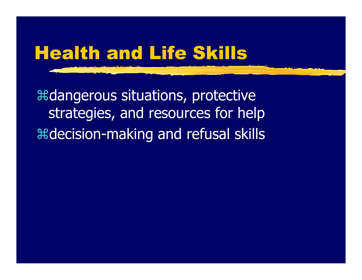## Health and Life Skills

**angerous situations, protective** strategies, and resources for help decision-making and refusal skills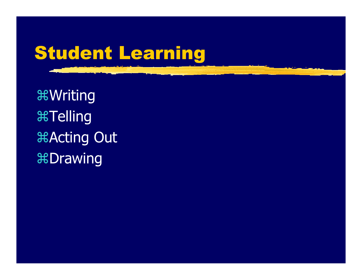# Student Learning

Writing **ATelling Acting Out H**Drawing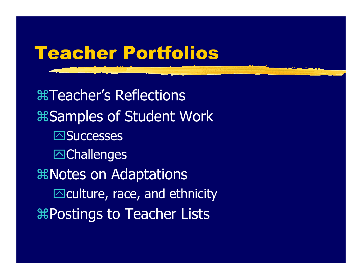# Teacher Portfolios

Teacher's Reflections **Ramples of Student Work ⊠Successes** -Challenge s Notes on Adaptations  $\boxdot$ culture, race, and ethnicity **RPostings to Teacher Lists**